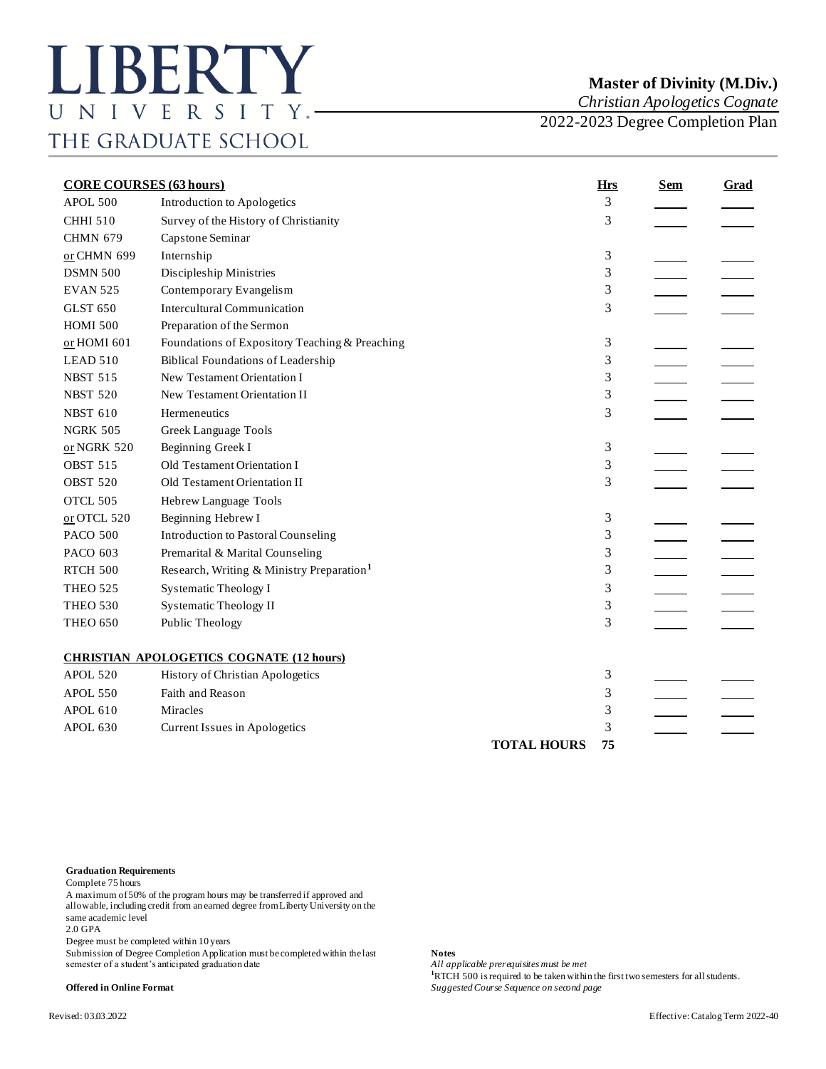## **Master of Divinity (M.Div.)**

*Christian Apologetics Cognate*

2022-2023 Degree Completion Plan

| <b>CORE COURSES (63 hours)</b> |                                                       | <b>Hrs</b>         | <b>Sem</b> | Grad |  |
|--------------------------------|-------------------------------------------------------|--------------------|------------|------|--|
| APOL.500                       | Introduction to Apologetics                           |                    | 3          |      |  |
| <b>CHHI 510</b>                | Survey of the History of Christianity                 |                    | 3          |      |  |
| <b>CHMN 679</b>                | Capstone Seminar                                      |                    |            |      |  |
| or CHMN 699                    | Internship                                            |                    | 3          |      |  |
| <b>DSMN 500</b>                | Discipleship Ministries                               |                    | 3          |      |  |
| <b>EVAN 525</b>                | Contemporary Evangelism                               |                    | 3          |      |  |
| <b>GLST 650</b>                | <b>Intercultural Communication</b>                    |                    | 3          |      |  |
| <b>HOMI 500</b>                | Preparation of the Sermon                             |                    |            |      |  |
| or HOMI 601                    | Foundations of Expository Teaching & Preaching        |                    | 3          |      |  |
| LEAD 510                       | <b>Biblical Foundations of Leadership</b>             |                    | 3          |      |  |
| <b>NBST 515</b>                | New Testament Orientation I                           |                    | 3          |      |  |
| <b>NBST 520</b>                | New Testament Orientation II                          |                    | 3          |      |  |
| <b>NBST 610</b>                | Hermeneutics                                          |                    | 3          |      |  |
| <b>NGRK 505</b>                | Greek Language Tools                                  |                    |            |      |  |
| or NGRK 520                    | Beginning Greek I                                     |                    | 3          |      |  |
| <b>OBST 515</b>                | Old Testament Orientation I                           |                    | 3          |      |  |
| <b>OBST 520</b>                | Old Testament Orientation II                          |                    | 3          |      |  |
| OTCL 505                       | Hebrew Language Tools                                 |                    |            |      |  |
| or OTCL 520                    | Beginning Hebrew I                                    |                    | 3          |      |  |
| <b>PACO 500</b>                | <b>Introduction to Pastoral Counseling</b>            |                    | 3          |      |  |
| PACO 603                       | Premarital & Marital Counseling                       |                    | 3          |      |  |
| <b>RTCH 500</b>                | Research, Writing & Ministry Preparation <sup>1</sup> |                    | 3          |      |  |
| <b>THEO 525</b>                | <b>Systematic Theology I</b>                          |                    | 3          |      |  |
| <b>THEO 530</b>                | <b>Systematic Theology II</b>                         |                    | 3          |      |  |
| <b>THEO 650</b>                | Public Theology                                       |                    | 3          |      |  |
|                                |                                                       |                    |            |      |  |
|                                | <b>CHRISTIAN APOLOGETICS COGNATE (12 hours)</b>       |                    |            |      |  |
| <b>APOL 520</b>                | History of Christian Apologetics                      |                    | 3          |      |  |
| <b>APOL 550</b>                | Faith and Reason                                      |                    | 3          |      |  |
| <b>APOL 610</b>                | Miracles                                              |                    | 3          |      |  |
| APOL 630                       | Current Issues in Apologetics                         |                    | 3          |      |  |
|                                |                                                       | <b>TOTAL HOURS</b> | 75         |      |  |

## **Graduation Requirements**

Complete 75 hours

A maximum of 50% of the program hours may be transferred if approved and allowable, including credit from an earned degree from Liberty University on the same academic level

2.0 GPA

Degree must be completed within 10 years

Submission of Degree Completion Application must be completed within the last **Notes** semester of a student's anticipated graduation date

**100 is requisites must be met**<br>**1**RTCH 500 is required to be taken within the first two semesters for all students. **Offered in Online Format** *Suggested Course Sequence on second page*